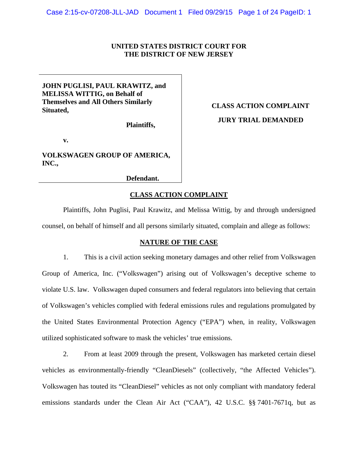# **UNITED STATES DISTRICT COURT FOR THE DISTRICT OF NEW JERSEY**

# **JOHN PUGLISI, PAUL KRAWITZ, and MELISSA WITTIG, on Behalf of Themselves and All Others Similarly Situated,**

 **Plaintiffs,** 

 **v.** 

**VOLKSWAGEN GROUP OF AMERICA, INC.,** 

 **Defendant.**

# **CLASS ACTION COMPLAINT JURY TRIAL DEMANDED**

**CLASS ACTION COMPLAINT**

Plaintiffs, John Puglisi, Paul Krawitz, and Melissa Wittig, by and through undersigned counsel, on behalf of himself and all persons similarly situated, complain and allege as follows:

# **NATURE OF THE CASE**

1. This is a civil action seeking monetary damages and other relief from Volkswagen Group of America, Inc. ("Volkswagen") arising out of Volkswagen's deceptive scheme to violate U.S. law. Volkswagen duped consumers and federal regulators into believing that certain of Volkswagen's vehicles complied with federal emissions rules and regulations promulgated by the United States Environmental Protection Agency ("EPA") when, in reality, Volkswagen utilized sophisticated software to mask the vehicles' true emissions.

2. From at least 2009 through the present, Volkswagen has marketed certain diesel vehicles as environmentally-friendly "CleanDiesels" (collectively, "the Affected Vehicles"). Volkswagen has touted its "CleanDiesel" vehicles as not only compliant with mandatory federal emissions standards under the Clean Air Act ("CAA"), 42 U.S.C. §§ 7401-7671q, but as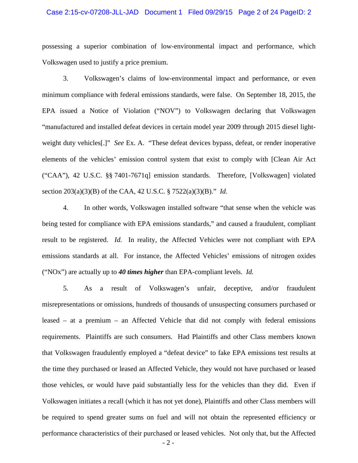## Case 2:15-cv-07208-JLL-JAD Document 1 Filed 09/29/15 Page 2 of 24 PageID: 2

possessing a superior combination of low-environmental impact and performance, which Volkswagen used to justify a price premium.

3. Volkswagen's claims of low-environmental impact and performance, or even minimum compliance with federal emissions standards, were false. On September 18, 2015, the EPA issued a Notice of Violation ("NOV") to Volkswagen declaring that Volkswagen "manufactured and installed defeat devices in certain model year 2009 through 2015 diesel lightweight duty vehicles[.]" *See* Ex. A. "These defeat devices bypass, defeat, or render inoperative elements of the vehicles' emission control system that exist to comply with [Clean Air Act ("CAA"), 42 U.S.C. §§ 7401-7671q] emission standards. Therefore, [Volkswagen] violated section 203(a)(3)(B) of the CAA, 42 U.S.C. § 7522(a)(3)(B)." *Id.*

4. In other words, Volkswagen installed software "that sense when the vehicle was being tested for compliance with EPA emissions standards," and caused a fraudulent, compliant result to be registered. *Id.* In reality, the Affected Vehicles were not compliant with EPA emissions standards at all. For instance, the Affected Vehicles' emissions of nitrogen oxides ("NOx") are actually up to *40 times higher* than EPA-compliant levels. *Id.*

5. As a result of Volkswagen's unfair, deceptive, and/or fraudulent misrepresentations or omissions, hundreds of thousands of unsuspecting consumers purchased or leased – at a premium – an Affected Vehicle that did not comply with federal emissions requirements. Plaintiffs are such consumers. Had Plaintiffs and other Class members known that Volkswagen fraudulently employed a "defeat device" to fake EPA emissions test results at the time they purchased or leased an Affected Vehicle, they would not have purchased or leased those vehicles, or would have paid substantially less for the vehicles than they did. Even if Volkswagen initiates a recall (which it has not yet done), Plaintiffs and other Class members will be required to spend greater sums on fuel and will not obtain the represented efficiency or performance characteristics of their purchased or leased vehicles. Not only that, but the Affected

- 2 -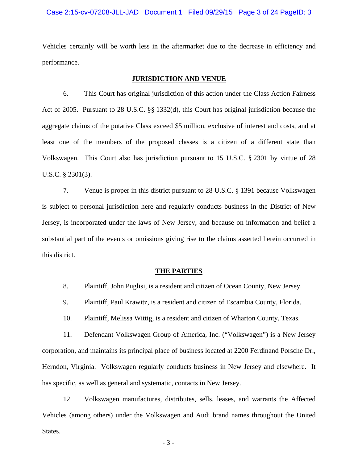Vehicles certainly will be worth less in the aftermarket due to the decrease in efficiency and performance.

# **JURISDICTION AND VENUE**

6. This Court has original jurisdiction of this action under the Class Action Fairness Act of 2005. Pursuant to 28 U.S.C. §§ 1332(d), this Court has original jurisdiction because the aggregate claims of the putative Class exceed \$5 million, exclusive of interest and costs, and at least one of the members of the proposed classes is a citizen of a different state than Volkswagen. This Court also has jurisdiction pursuant to 15 U.S.C. § 2301 by virtue of 28 U.S.C. § 2301(3).

7. Venue is proper in this district pursuant to 28 U.S.C. § 1391 because Volkswagen is subject to personal jurisdiction here and regularly conducts business in the District of New Jersey, is incorporated under the laws of New Jersey, and because on information and belief a substantial part of the events or omissions giving rise to the claims asserted herein occurred in this district.

# **THE PARTIES**

- 8. Plaintiff, John Puglisi, is a resident and citizen of Ocean County, New Jersey.
- 9. Plaintiff, Paul Krawitz, is a resident and citizen of Escambia County, Florida.
- 10. Plaintiff, Melissa Wittig, is a resident and citizen of Wharton County, Texas.

11. Defendant Volkswagen Group of America, Inc. ("Volkswagen") is a New Jersey corporation, and maintains its principal place of business located at 2200 Ferdinand Porsche Dr., Herndon, Virginia. Volkswagen regularly conducts business in New Jersey and elsewhere. It has specific, as well as general and systematic, contacts in New Jersey.

12. Volkswagen manufactures, distributes, sells, leases, and warrants the Affected Vehicles (among others) under the Volkswagen and Audi brand names throughout the United States.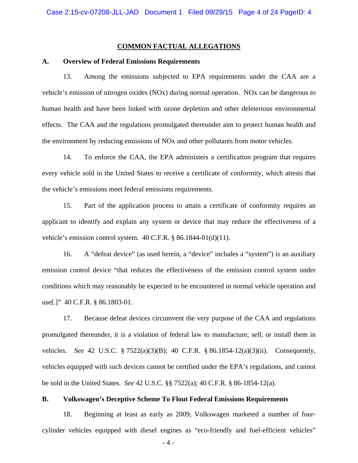# **COMMON FACTUAL ALLEGATIONS**

# **A. Overview of Federal Emissions Requirements**

13. Among the emissions subjected to EPA requirements under the CAA are a vehicle's emission of nitrogen oxides (NOx) during normal operation. NOx can be dangerous to human health and have been linked with ozone depletion and other deleterious environmental effects. The CAA and the regulations promulgated thereunder aim to protect human health and the environment by reducing emissions of NOx and other pollutants from motor vehicles.

14. To enforce the CAA, the EPA administers a certification program that requires every vehicle sold in the United States to receive a certificate of conformity, which attests that the vehicle's emissions meet federal emissions requirements.

15. Part of the application process to attain a certificate of conformity requires an applicant to identify and explain any system or device that may reduce the effectiveness of a vehicle's emission control system. 40 C.F.R. § 86.1844-01(d)(11).

16. A "defeat device" (as used herein, a "device" includes a "system") is an auxiliary emission control device "that reduces the effectiveness of the emission control system under conditions which may reasonably be expected to be encountered in normal vehicle operation and use[.]" 40 C.F.R. § 86.1803-01.

17. Because defeat devices circumvent the very purpose of the CAA and regulations promulgated thereunder, it is a violation of federal law to manufacture, sell, or install them in vehicles. *See* 42 U.S.C. § 7522(a)(3)(B); 40 C.F.R. § 86.1854-12(a)(3)(ii). Consequently, vehicles equipped with such devices cannot be certified under the EPA's regulations, and cannot be sold in the United States. *See* 42 U.S.C. §§ 7522(a); 40 C.F.R. § 86-1854-12(a).

# **B. Volkswagen's Deceptive Scheme To Flout Federal Emissions Requirements**

18. Beginning at least as early as 2009, Volkswagen marketed a number of fourcylinder vehicles equipped with diesel engines as "eco-friendly and fuel-efficient vehicles"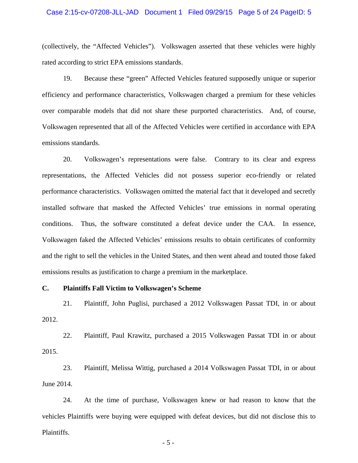## Case 2:15-cv-07208-JLL-JAD Document 1 Filed 09/29/15 Page 5 of 24 PageID: 5

(collectively, the "Affected Vehicles"). Volkswagen asserted that these vehicles were highly rated according to strict EPA emissions standards.

19. Because these "green" Affected Vehicles featured supposedly unique or superior efficiency and performance characteristics, Volkswagen charged a premium for these vehicles over comparable models that did not share these purported characteristics. And, of course, Volkswagen represented that all of the Affected Vehicles were certified in accordance with EPA emissions standards.

20. Volkswagen's representations were false. Contrary to its clear and express representations, the Affected Vehicles did not possess superior eco-friendly or related performance characteristics. Volkswagen omitted the material fact that it developed and secretly installed software that masked the Affected Vehicles' true emissions in normal operating conditions. Thus, the software constituted a defeat device under the CAA. In essence, Volkswagen faked the Affected Vehicles' emissions results to obtain certificates of conformity and the right to sell the vehicles in the United States, and then went ahead and touted those faked emissions results as justification to charge a premium in the marketplace.

#### **C. Plaintiffs Fall Victim to Volkswagen's Scheme**

21. Plaintiff, John Puglisi, purchased a 2012 Volkswagen Passat TDI, in or about 2012.

22. Plaintiff, Paul Krawitz, purchased a 2015 Volkswagen Passat TDI in or about 2015.

23. Plaintiff, Melissa Wittig, purchased a 2014 Volkswagen Passat TDI, in or about June 2014.

24. At the time of purchase, Volkswagen knew or had reason to know that the vehicles Plaintiffs were buying were equipped with defeat devices, but did not disclose this to Plaintiffs.

- 5 -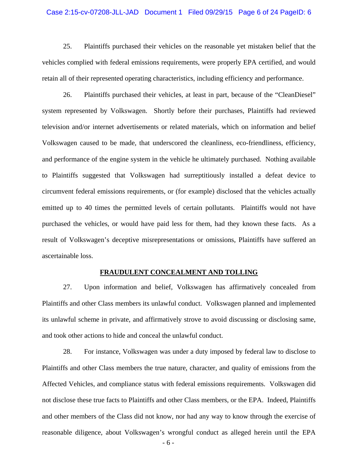## Case 2:15-cv-07208-JLL-JAD Document 1 Filed 09/29/15 Page 6 of 24 PageID: 6

25. Plaintiffs purchased their vehicles on the reasonable yet mistaken belief that the vehicles complied with federal emissions requirements, were properly EPA certified, and would retain all of their represented operating characteristics, including efficiency and performance.

26. Plaintiffs purchased their vehicles, at least in part, because of the "CleanDiesel" system represented by Volkswagen. Shortly before their purchases, Plaintiffs had reviewed television and/or internet advertisements or related materials, which on information and belief Volkswagen caused to be made, that underscored the cleanliness, eco-friendliness, efficiency, and performance of the engine system in the vehicle he ultimately purchased. Nothing available to Plaintiffs suggested that Volkswagen had surreptitiously installed a defeat device to circumvent federal emissions requirements, or (for example) disclosed that the vehicles actually emitted up to 40 times the permitted levels of certain pollutants. Plaintiffs would not have purchased the vehicles, or would have paid less for them, had they known these facts. As a result of Volkswagen's deceptive misrepresentations or omissions, Plaintiffs have suffered an ascertainable loss.

#### **FRAUDULENT CONCEALMENT AND TOLLING**

27. Upon information and belief, Volkswagen has affirmatively concealed from Plaintiffs and other Class members its unlawful conduct. Volkswagen planned and implemented its unlawful scheme in private, and affirmatively strove to avoid discussing or disclosing same, and took other actions to hide and conceal the unlawful conduct.

28. For instance, Volkswagen was under a duty imposed by federal law to disclose to Plaintiffs and other Class members the true nature, character, and quality of emissions from the Affected Vehicles, and compliance status with federal emissions requirements. Volkswagen did not disclose these true facts to Plaintiffs and other Class members, or the EPA. Indeed, Plaintiffs and other members of the Class did not know, nor had any way to know through the exercise of reasonable diligence, about Volkswagen's wrongful conduct as alleged herein until the EPA

- 6 -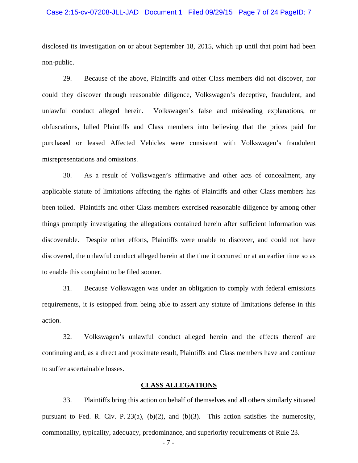## Case 2:15-cv-07208-JLL-JAD Document 1 Filed 09/29/15 Page 7 of 24 PageID: 7

disclosed its investigation on or about September 18, 2015, which up until that point had been non-public.

29. Because of the above, Plaintiffs and other Class members did not discover, nor could they discover through reasonable diligence, Volkswagen's deceptive, fraudulent, and unlawful conduct alleged herein. Volkswagen's false and misleading explanations, or obfuscations, lulled Plaintiffs and Class members into believing that the prices paid for purchased or leased Affected Vehicles were consistent with Volkswagen's fraudulent misrepresentations and omissions.

30. As a result of Volkswagen's affirmative and other acts of concealment, any applicable statute of limitations affecting the rights of Plaintiffs and other Class members has been tolled. Plaintiffs and other Class members exercised reasonable diligence by among other things promptly investigating the allegations contained herein after sufficient information was discoverable. Despite other efforts, Plaintiffs were unable to discover, and could not have discovered, the unlawful conduct alleged herein at the time it occurred or at an earlier time so as to enable this complaint to be filed sooner.

31. Because Volkswagen was under an obligation to comply with federal emissions requirements, it is estopped from being able to assert any statute of limitations defense in this action.

32. Volkswagen's unlawful conduct alleged herein and the effects thereof are continuing and, as a direct and proximate result, Plaintiffs and Class members have and continue to suffer ascertainable losses.

# **CLASS ALLEGATIONS**

33. Plaintiffs bring this action on behalf of themselves and all others similarly situated pursuant to Fed. R. Civ. P. 23(a), (b)(2), and (b)(3). This action satisfies the numerosity, commonality, typicality, adequacy, predominance, and superiority requirements of Rule 23.

- 7 -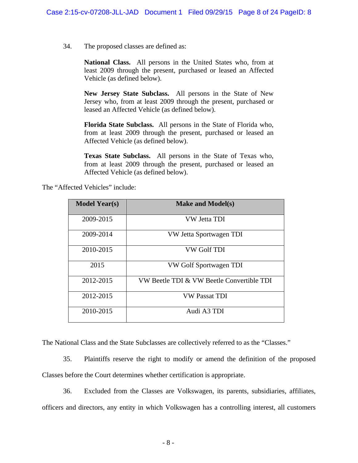34. The proposed classes are defined as:

**National Class.** All persons in the United States who, from at least 2009 through the present, purchased or leased an Affected Vehicle (as defined below).

**New Jersey State Subclass.** All persons in the State of New Jersey who, from at least 2009 through the present, purchased or leased an Affected Vehicle (as defined below).

**Florida State Subclass.** All persons in the State of Florida who, from at least 2009 through the present, purchased or leased an Affected Vehicle (as defined below).

**Texas State Subclass.** All persons in the State of Texas who, from at least 2009 through the present, purchased or leased an Affected Vehicle (as defined below).

The "Affected Vehicles" include:

| <b>Model Year(s)</b> | <b>Make and Model(s)</b>                  |  |  |  |  |
|----------------------|-------------------------------------------|--|--|--|--|
| 2009-2015            | VW Jetta TDI                              |  |  |  |  |
| 2009-2014            | VW Jetta Sportwagen TDI                   |  |  |  |  |
| 2010-2015            | VW Golf TDI                               |  |  |  |  |
| 2015                 | VW Golf Sportwagen TDI                    |  |  |  |  |
| 2012-2015            | VW Beetle TDI & VW Beetle Convertible TDI |  |  |  |  |
| 2012-2015            | <b>VW Passat TDI</b>                      |  |  |  |  |
| 2010-2015            | Audi A3 TDI                               |  |  |  |  |

The National Class and the State Subclasses are collectively referred to as the "Classes."

35. Plaintiffs reserve the right to modify or amend the definition of the proposed Classes before the Court determines whether certification is appropriate.

36. Excluded from the Classes are Volkswagen, its parents, subsidiaries, affiliates, officers and directors, any entity in which Volkswagen has a controlling interest, all customers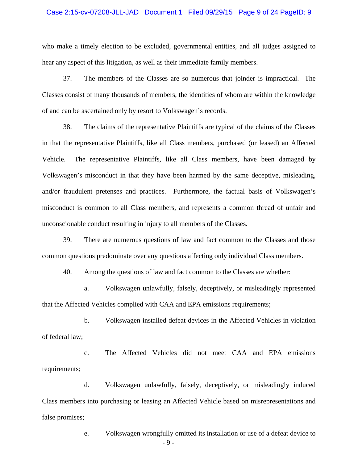## Case 2:15-cv-07208-JLL-JAD Document 1 Filed 09/29/15 Page 9 of 24 PageID: 9

who make a timely election to be excluded, governmental entities, and all judges assigned to hear any aspect of this litigation, as well as their immediate family members.

37. The members of the Classes are so numerous that joinder is impractical. The Classes consist of many thousands of members, the identities of whom are within the knowledge of and can be ascertained only by resort to Volkswagen's records.

38. The claims of the representative Plaintiffs are typical of the claims of the Classes in that the representative Plaintiffs, like all Class members, purchased (or leased) an Affected Vehicle. The representative Plaintiffs, like all Class members, have been damaged by Volkswagen's misconduct in that they have been harmed by the same deceptive, misleading, and/or fraudulent pretenses and practices. Furthermore, the factual basis of Volkswagen's misconduct is common to all Class members, and represents a common thread of unfair and unconscionable conduct resulting in injury to all members of the Classes.

39. There are numerous questions of law and fact common to the Classes and those common questions predominate over any questions affecting only individual Class members.

40. Among the questions of law and fact common to the Classes are whether:

a. Volkswagen unlawfully, falsely, deceptively, or misleadingly represented that the Affected Vehicles complied with CAA and EPA emissions requirements;

b. Volkswagen installed defeat devices in the Affected Vehicles in violation of federal law;

c. The Affected Vehicles did not meet CAA and EPA emissions requirements;

d. Volkswagen unlawfully, falsely, deceptively, or misleadingly induced Class members into purchasing or leasing an Affected Vehicle based on misrepresentations and false promises;

> - 9 e. Volkswagen wrongfully omitted its installation or use of a defeat device to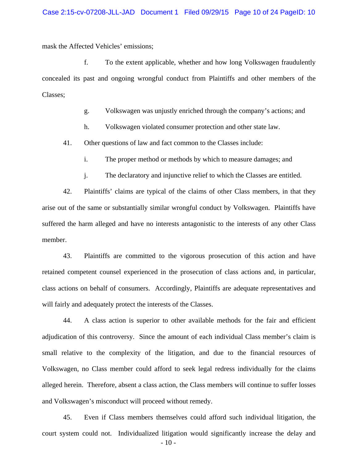mask the Affected Vehicles' emissions;

f. To the extent applicable, whether and how long Volkswagen fraudulently concealed its past and ongoing wrongful conduct from Plaintiffs and other members of the Classes;

g. Volkswagen was unjustly enriched through the company's actions; and

h. Volkswagen violated consumer protection and other state law.

41. Other questions of law and fact common to the Classes include:

i. The proper method or methods by which to measure damages; and

j. The declaratory and injunctive relief to which the Classes are entitled.

42. Plaintiffs' claims are typical of the claims of other Class members, in that they arise out of the same or substantially similar wrongful conduct by Volkswagen. Plaintiffs have suffered the harm alleged and have no interests antagonistic to the interests of any other Class member.

43. Plaintiffs are committed to the vigorous prosecution of this action and have retained competent counsel experienced in the prosecution of class actions and, in particular, class actions on behalf of consumers. Accordingly, Plaintiffs are adequate representatives and will fairly and adequately protect the interests of the Classes.

44. A class action is superior to other available methods for the fair and efficient adjudication of this controversy. Since the amount of each individual Class member's claim is small relative to the complexity of the litigation, and due to the financial resources of Volkswagen, no Class member could afford to seek legal redress individually for the claims alleged herein. Therefore, absent a class action, the Class members will continue to suffer losses and Volkswagen's misconduct will proceed without remedy.

45. Even if Class members themselves could afford such individual litigation, the court system could not. Individualized litigation would significantly increase the delay and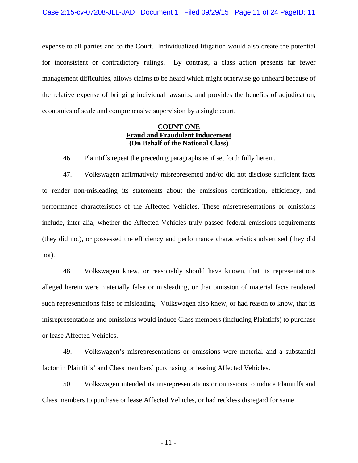expense to all parties and to the Court. Individualized litigation would also create the potential for inconsistent or contradictory rulings. By contrast, a class action presents far fewer management difficulties, allows claims to be heard which might otherwise go unheard because of the relative expense of bringing individual lawsuits, and provides the benefits of adjudication, economies of scale and comprehensive supervision by a single court.

# **COUNT ONE Fraud and Fraudulent Inducement (On Behalf of the National Class)**

46. Plaintiffs repeat the preceding paragraphs as if set forth fully herein.

47. Volkswagen affirmatively misrepresented and/or did not disclose sufficient facts to render non-misleading its statements about the emissions certification, efficiency, and performance characteristics of the Affected Vehicles. These misrepresentations or omissions include, inter alia, whether the Affected Vehicles truly passed federal emissions requirements (they did not), or possessed the efficiency and performance characteristics advertised (they did not).

48. Volkswagen knew, or reasonably should have known, that its representations alleged herein were materially false or misleading, or that omission of material facts rendered such representations false or misleading. Volkswagen also knew, or had reason to know, that its misrepresentations and omissions would induce Class members (including Plaintiffs) to purchase or lease Affected Vehicles.

49. Volkswagen's misrepresentations or omissions were material and a substantial factor in Plaintiffs' and Class members' purchasing or leasing Affected Vehicles.

50. Volkswagen intended its misrepresentations or omissions to induce Plaintiffs and Class members to purchase or lease Affected Vehicles, or had reckless disregard for same.

- 11 -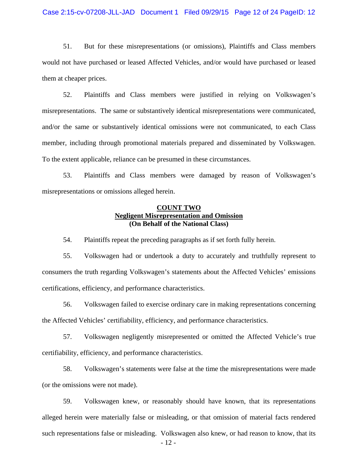## Case 2:15-cv-07208-JLL-JAD Document 1 Filed 09/29/15 Page 12 of 24 PageID: 12

51. But for these misrepresentations (or omissions), Plaintiffs and Class members would not have purchased or leased Affected Vehicles, and/or would have purchased or leased them at cheaper prices.

52. Plaintiffs and Class members were justified in relying on Volkswagen's misrepresentations. The same or substantively identical misrepresentations were communicated, and/or the same or substantively identical omissions were not communicated, to each Class member, including through promotional materials prepared and disseminated by Volkswagen. To the extent applicable, reliance can be presumed in these circumstances.

53. Plaintiffs and Class members were damaged by reason of Volkswagen's misrepresentations or omissions alleged herein.

# **COUNT TWO Negligent Misrepresentation and Omission (On Behalf of the National Class)**

54. Plaintiffs repeat the preceding paragraphs as if set forth fully herein.

55. Volkswagen had or undertook a duty to accurately and truthfully represent to consumers the truth regarding Volkswagen's statements about the Affected Vehicles' emissions certifications, efficiency, and performance characteristics.

56. Volkswagen failed to exercise ordinary care in making representations concerning the Affected Vehicles' certifiability, efficiency, and performance characteristics.

57. Volkswagen negligently misrepresented or omitted the Affected Vehicle's true certifiability, efficiency, and performance characteristics.

58. Volkswagen's statements were false at the time the misrepresentations were made (or the omissions were not made).

59. Volkswagen knew, or reasonably should have known, that its representations alleged herein were materially false or misleading, or that omission of material facts rendered such representations false or misleading. Volkswagen also knew, or had reason to know, that its

- 12 -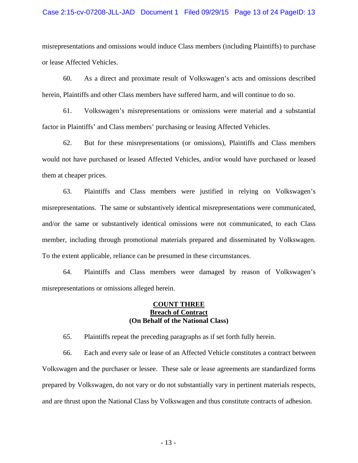## Case 2:15-cv-07208-JLL-JAD Document 1 Filed 09/29/15 Page 13 of 24 PageID: 13

misrepresentations and omissions would induce Class members (including Plaintiffs) to purchase or lease Affected Vehicles.

60. As a direct and proximate result of Volkswagen's acts and omissions described herein, Plaintiffs and other Class members have suffered harm, and will continue to do so.

61. Volkswagen's misrepresentations or omissions were material and a substantial factor in Plaintiffs' and Class members' purchasing or leasing Affected Vehicles.

62. But for these misrepresentations (or omissions), Plaintiffs and Class members would not have purchased or leased Affected Vehicles, and/or would have purchased or leased them at cheaper prices.

63. Plaintiffs and Class members were justified in relying on Volkswagen's misrepresentations. The same or substantively identical misrepresentations were communicated, and/or the same or substantively identical omissions were not communicated, to each Class member, including through promotional materials prepared and disseminated by Volkswagen. To the extent applicable, reliance can be presumed in these circumstances.

64. Plaintiffs and Class members were damaged by reason of Volkswagen's misrepresentations or omissions alleged herein.

# **COUNT THREE Breach of Contract (On Behalf of the National Class)**

65. Plaintiffs repeat the preceding paragraphs as if set forth fully herein.

66. Each and every sale or lease of an Affected Vehicle constitutes a contract between Volkswagen and the purchaser or lessee. These sale or lease agreements are standardized forms prepared by Volkswagen, do not vary or do not substantially vary in pertinent materials respects, and are thrust upon the National Class by Volkswagen and thus constitute contracts of adhesion.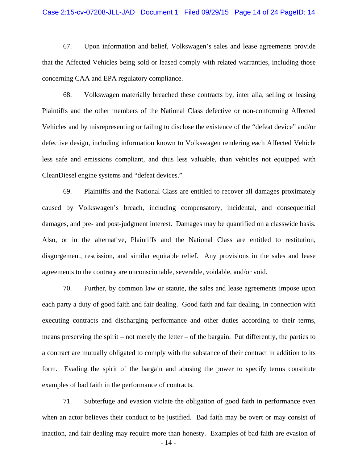## Case 2:15-cv-07208-JLL-JAD Document 1 Filed 09/29/15 Page 14 of 24 PageID: 14

67. Upon information and belief, Volkswagen's sales and lease agreements provide that the Affected Vehicles being sold or leased comply with related warranties, including those concerning CAA and EPA regulatory compliance.

68. Volkswagen materially breached these contracts by, inter alia, selling or leasing Plaintiffs and the other members of the National Class defective or non-conforming Affected Vehicles and by misrepresenting or failing to disclose the existence of the "defeat device" and/or defective design, including information known to Volkswagen rendering each Affected Vehicle less safe and emissions compliant, and thus less valuable, than vehicles not equipped with CleanDiesel engine systems and "defeat devices."

69. Plaintiffs and the National Class are entitled to recover all damages proximately caused by Volkswagen's breach, including compensatory, incidental, and consequential damages, and pre- and post-judgment interest. Damages may be quantified on a classwide basis. Also, or in the alternative, Plaintiffs and the National Class are entitled to restitution, disgorgement, rescission, and similar equitable relief. Any provisions in the sales and lease agreements to the contrary are unconscionable, severable, voidable, and/or void.

70. Further, by common law or statute, the sales and lease agreements impose upon each party a duty of good faith and fair dealing. Good faith and fair dealing, in connection with executing contracts and discharging performance and other duties according to their terms, means preserving the spirit – not merely the letter – of the bargain. Put differently, the parties to a contract are mutually obligated to comply with the substance of their contract in addition to its form. Evading the spirit of the bargain and abusing the power to specify terms constitute examples of bad faith in the performance of contracts.

71. Subterfuge and evasion violate the obligation of good faith in performance even when an actor believes their conduct to be justified. Bad faith may be overt or may consist of inaction, and fair dealing may require more than honesty. Examples of bad faith are evasion of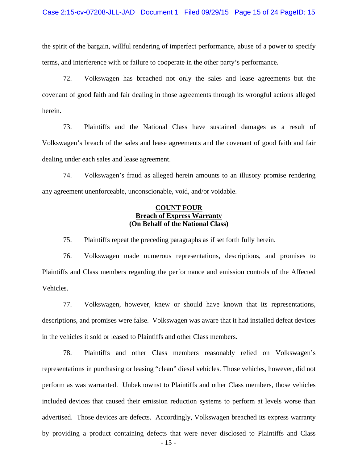the spirit of the bargain, willful rendering of imperfect performance, abuse of a power to specify terms, and interference with or failure to cooperate in the other party's performance.

72. Volkswagen has breached not only the sales and lease agreements but the covenant of good faith and fair dealing in those agreements through its wrongful actions alleged herein.

73. Plaintiffs and the National Class have sustained damages as a result of Volkswagen's breach of the sales and lease agreements and the covenant of good faith and fair dealing under each sales and lease agreement.

74. Volkswagen's fraud as alleged herein amounts to an illusory promise rendering any agreement unenforceable, unconscionable, void, and/or voidable.

# **COUNT FOUR Breach of Express Warranty (On Behalf of the National Class)**

75. Plaintiffs repeat the preceding paragraphs as if set forth fully herein.

76. Volkswagen made numerous representations, descriptions, and promises to Plaintiffs and Class members regarding the performance and emission controls of the Affected Vehicles.

77. Volkswagen, however, knew or should have known that its representations, descriptions, and promises were false. Volkswagen was aware that it had installed defeat devices in the vehicles it sold or leased to Plaintiffs and other Class members.

78. Plaintiffs and other Class members reasonably relied on Volkswagen's representations in purchasing or leasing "clean" diesel vehicles. Those vehicles, however, did not perform as was warranted. Unbeknownst to Plaintiffs and other Class members, those vehicles included devices that caused their emission reduction systems to perform at levels worse than advertised. Those devices are defects. Accordingly, Volkswagen breached its express warranty by providing a product containing defects that were never disclosed to Plaintiffs and Class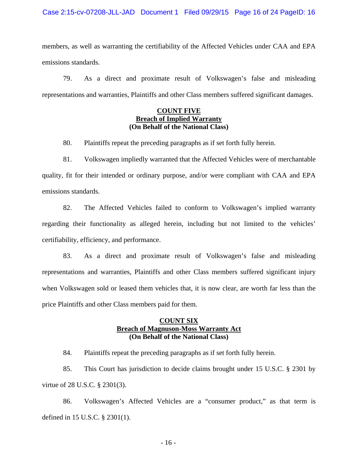members, as well as warranting the certifiability of the Affected Vehicles under CAA and EPA emissions standards.

79. As a direct and proximate result of Volkswagen's false and misleading representations and warranties, Plaintiffs and other Class members suffered significant damages.

# **COUNT FIVE Breach of Implied Warranty (On Behalf of the National Class)**

80. Plaintiffs repeat the preceding paragraphs as if set forth fully herein.

81. Volkswagen impliedly warranted that the Affected Vehicles were of merchantable quality, fit for their intended or ordinary purpose, and/or were compliant with CAA and EPA emissions standards.

82. The Affected Vehicles failed to conform to Volkswagen's implied warranty regarding their functionality as alleged herein, including but not limited to the vehicles' certifiability, efficiency, and performance.

83. As a direct and proximate result of Volkswagen's false and misleading representations and warranties, Plaintiffs and other Class members suffered significant injury when Volkswagen sold or leased them vehicles that, it is now clear, are worth far less than the price Plaintiffs and other Class members paid for them.

# **COUNT SIX Breach of Magnuson-Moss Warranty Act (On Behalf of the National Class)**

84. Plaintiffs repeat the preceding paragraphs as if set forth fully herein.

85. This Court has jurisdiction to decide claims brought under 15 U.S.C. § 2301 by virtue of 28 U.S.C. § 2301(3).

86. Volkswagen's Affected Vehicles are a "consumer product," as that term is defined in 15 U.S.C. § 2301(1).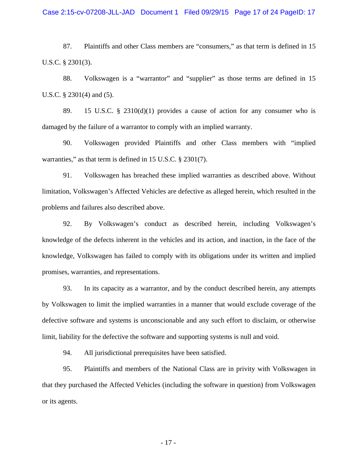## Case 2:15-cv-07208-JLL-JAD Document 1 Filed 09/29/15 Page 17 of 24 PageID: 17

87. Plaintiffs and other Class members are "consumers," as that term is defined in 15 U.S.C. § 2301(3).

88. Volkswagen is a "warrantor" and "supplier" as those terms are defined in 15 U.S.C. § 2301(4) and (5).

89. 15 U.S.C. § 2310(d)(1) provides a cause of action for any consumer who is damaged by the failure of a warrantor to comply with an implied warranty.

90. Volkswagen provided Plaintiffs and other Class members with "implied warranties," as that term is defined in 15 U.S.C. § 2301(7).

91. Volkswagen has breached these implied warranties as described above. Without limitation, Volkswagen's Affected Vehicles are defective as alleged herein, which resulted in the problems and failures also described above.

92. By Volkswagen's conduct as described herein, including Volkswagen's knowledge of the defects inherent in the vehicles and its action, and inaction, in the face of the knowledge, Volkswagen has failed to comply with its obligations under its written and implied promises, warranties, and representations.

93. In its capacity as a warrantor, and by the conduct described herein, any attempts by Volkswagen to limit the implied warranties in a manner that would exclude coverage of the defective software and systems is unconscionable and any such effort to disclaim, or otherwise limit, liability for the defective the software and supporting systems is null and void.

94. All jurisdictional prerequisites have been satisfied.

95. Plaintiffs and members of the National Class are in privity with Volkswagen in that they purchased the Affected Vehicles (including the software in question) from Volkswagen or its agents.

- 17 -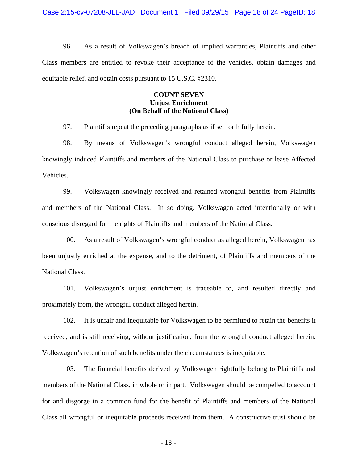Case 2:15-cv-07208-JLL-JAD Document 1 Filed 09/29/15 Page 18 of 24 PageID: 18

96. As a result of Volkswagen's breach of implied warranties, Plaintiffs and other Class members are entitled to revoke their acceptance of the vehicles, obtain damages and equitable relief, and obtain costs pursuant to 15 U.S.C. §2310.

# **COUNT SEVEN Unjust Enrichment (On Behalf of the National Class)**

97. Plaintiffs repeat the preceding paragraphs as if set forth fully herein.

98. By means of Volkswagen's wrongful conduct alleged herein, Volkswagen knowingly induced Plaintiffs and members of the National Class to purchase or lease Affected Vehicles.

99. Volkswagen knowingly received and retained wrongful benefits from Plaintiffs and members of the National Class. In so doing, Volkswagen acted intentionally or with conscious disregard for the rights of Plaintiffs and members of the National Class.

100. As a result of Volkswagen's wrongful conduct as alleged herein, Volkswagen has been unjustly enriched at the expense, and to the detriment, of Plaintiffs and members of the National Class.

101. Volkswagen's unjust enrichment is traceable to, and resulted directly and proximately from, the wrongful conduct alleged herein.

102. It is unfair and inequitable for Volkswagen to be permitted to retain the benefits it received, and is still receiving, without justification, from the wrongful conduct alleged herein. Volkswagen's retention of such benefits under the circumstances is inequitable.

103. The financial benefits derived by Volkswagen rightfully belong to Plaintiffs and members of the National Class, in whole or in part. Volkswagen should be compelled to account for and disgorge in a common fund for the benefit of Plaintiffs and members of the National Class all wrongful or inequitable proceeds received from them. A constructive trust should be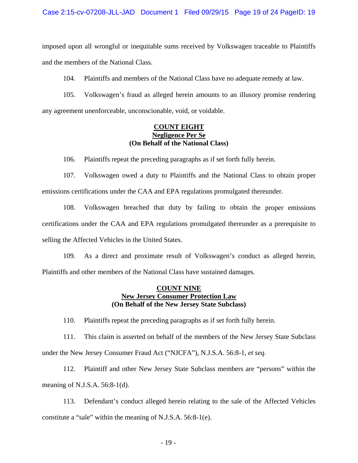imposed upon all wrongful or inequitable sums received by Volkswagen traceable to Plaintiffs and the members of the National Class.

104. Plaintiffs and members of the National Class have no adequate remedy at law.

105. Volkswagen's fraud as alleged herein amounts to an illusory promise rendering any agreement unenforceable, unconscionable, void, or voidable.

# **COUNT EIGHT Negligence Per Se (On Behalf of the National Class)**

106. Plaintiffs repeat the preceding paragraphs as if set forth fully herein.

107. Volkswagen owed a duty to Plaintiffs and the National Class to obtain proper emissions certifications under the CAA and EPA regulations promulgated thereunder.

108. Volkswagen breached that duty by failing to obtain the proper emissions certifications under the CAA and EPA regulations promulgated thereunder as a prerequisite to selling the Affected Vehicles in the United States.

109. As a direct and proximate result of Volkswagen's conduct as alleged herein, Plaintiffs and other members of the National Class have sustained damages.

# **COUNT NINE New Jersey Consumer Protection Law (On Behalf of the New Jersey State Subclass)**

110. Plaintiffs repeat the preceding paragraphs as if set forth fully herein.

111. This claim is asserted on behalf of the members of the New Jersey State Subclass under the New Jersey Consumer Fraud Act ("NJCFA"), N.J.S.A. 56:8-1, *et seq*.

112. Plaintiff and other New Jersey State Subclass members are "persons" within the meaning of N.J.S.A. 56:8-1(d).

113. Defendant's conduct alleged herein relating to the sale of the Affected Vehicles constitute a "sale" within the meaning of N.J.S.A. 56:8-1(e).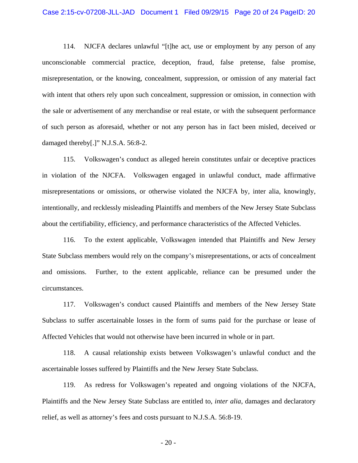## Case 2:15-cv-07208-JLL-JAD Document 1 Filed 09/29/15 Page 20 of 24 PageID: 20

114. NJCFA declares unlawful "[t]he act, use or employment by any person of any unconscionable commercial practice, deception, fraud, false pretense, false promise, misrepresentation, or the knowing, concealment, suppression, or omission of any material fact with intent that others rely upon such concealment, suppression or omission, in connection with the sale or advertisement of any merchandise or real estate, or with the subsequent performance of such person as aforesaid, whether or not any person has in fact been misled, deceived or damaged thereby[.]" N.J.S.A. 56:8-2.

115. Volkswagen's conduct as alleged herein constitutes unfair or deceptive practices in violation of the NJCFA. Volkswagen engaged in unlawful conduct, made affirmative misrepresentations or omissions, or otherwise violated the NJCFA by, inter alia, knowingly, intentionally, and recklessly misleading Plaintiffs and members of the New Jersey State Subclass about the certifiability, efficiency, and performance characteristics of the Affected Vehicles.

116. To the extent applicable, Volkswagen intended that Plaintiffs and New Jersey State Subclass members would rely on the company's misrepresentations, or acts of concealment and omissions. Further, to the extent applicable, reliance can be presumed under the circumstances.

117. Volkswagen's conduct caused Plaintiffs and members of the New Jersey State Subclass to suffer ascertainable losses in the form of sums paid for the purchase or lease of Affected Vehicles that would not otherwise have been incurred in whole or in part.

118. A causal relationship exists between Volkswagen's unlawful conduct and the ascertainable losses suffered by Plaintiffs and the New Jersey State Subclass.

119. As redress for Volkswagen's repeated and ongoing violations of the NJCFA, Plaintiffs and the New Jersey State Subclass are entitled to, *inter alia*, damages and declaratory relief, as well as attorney's fees and costs pursuant to N.J.S.A. 56:8-19.

- 20 -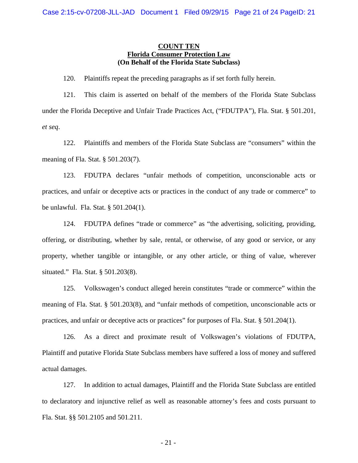# **COUNT TEN Florida Consumer Protection Law (On Behalf of the Florida State Subclass)**

120. Plaintiffs repeat the preceding paragraphs as if set forth fully herein.

121. This claim is asserted on behalf of the members of the Florida State Subclass under the Florida Deceptive and Unfair Trade Practices Act, ("FDUTPA"), Fla. Stat. § 501.201, *et seq*.

122. Plaintiffs and members of the Florida State Subclass are "consumers" within the meaning of Fla. Stat. § 501.203(7).

123. FDUTPA declares "unfair methods of competition, unconscionable acts or practices, and unfair or deceptive acts or practices in the conduct of any trade or commerce" to be unlawful. Fla. Stat. § 501.204(1).

124. FDUTPA defines "trade or commerce" as "the advertising, soliciting, providing, offering, or distributing, whether by sale, rental, or otherwise, of any good or service, or any property, whether tangible or intangible, or any other article, or thing of value, wherever situated." Fla. Stat. § 501.203(8).

125. Volkswagen's conduct alleged herein constitutes "trade or commerce" within the meaning of Fla. Stat. § 501.203(8), and "unfair methods of competition, unconscionable acts or practices, and unfair or deceptive acts or practices" for purposes of Fla. Stat. § 501.204(1).

126. As a direct and proximate result of Volkswagen's violations of FDUTPA, Plaintiff and putative Florida State Subclass members have suffered a loss of money and suffered actual damages.

127. In addition to actual damages, Plaintiff and the Florida State Subclass are entitled to declaratory and injunctive relief as well as reasonable attorney's fees and costs pursuant to Fla. Stat. §§ 501.2105 and 501.211.

- 21 -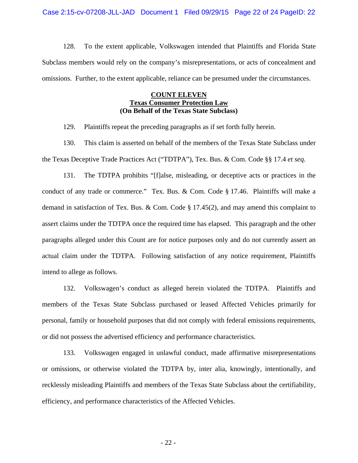Case 2:15-cv-07208-JLL-JAD Document 1 Filed 09/29/15 Page 22 of 24 PageID: 22

128. To the extent applicable, Volkswagen intended that Plaintiffs and Florida State Subclass members would rely on the company's misrepresentations, or acts of concealment and omissions. Further, to the extent applicable, reliance can be presumed under the circumstances.

# **COUNT ELEVEN Texas Consumer Protection Law (On Behalf of the Texas State Subclass)**

129. Plaintiffs repeat the preceding paragraphs as if set forth fully herein.

130. This claim is asserted on behalf of the members of the Texas State Subclass under the Texas Deceptive Trade Practices Act ("TDTPA"), Tex. Bus. & Com. Code §§ 17.4 *et seq.*

131. The TDTPA prohibits "[f]alse, misleading, or deceptive acts or practices in the conduct of any trade or commerce." Tex. Bus. & Com. Code § 17.46. Plaintiffs will make a demand in satisfaction of Tex. Bus. & Com. Code  $\S 17.45(2)$ , and may amend this complaint to assert claims under the TDTPA once the required time has elapsed. This paragraph and the other paragraphs alleged under this Count are for notice purposes only and do not currently assert an actual claim under the TDTPA. Following satisfaction of any notice requirement, Plaintiffs intend to allege as follows.

132. Volkswagen's conduct as alleged herein violated the TDTPA. Plaintiffs and members of the Texas State Subclass purchased or leased Affected Vehicles primarily for personal, family or household purposes that did not comply with federal emissions requirements, or did not possess the advertised efficiency and performance characteristics.

133. Volkswagen engaged in unlawful conduct, made affirmative misrepresentations or omissions, or otherwise violated the TDTPA by, inter alia, knowingly, intentionally, and recklessly misleading Plaintiffs and members of the Texas State Subclass about the certifiability, efficiency, and performance characteristics of the Affected Vehicles.

- 22 -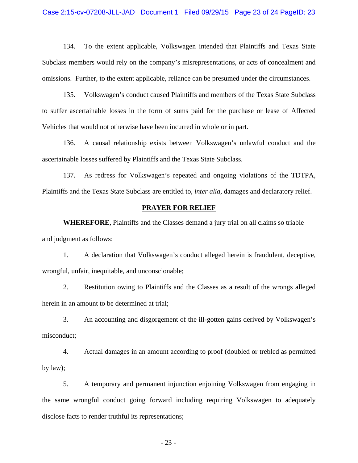## Case 2:15-cv-07208-JLL-JAD Document 1 Filed 09/29/15 Page 23 of 24 PageID: 23

134. To the extent applicable, Volkswagen intended that Plaintiffs and Texas State Subclass members would rely on the company's misrepresentations, or acts of concealment and omissions. Further, to the extent applicable, reliance can be presumed under the circumstances.

135. Volkswagen's conduct caused Plaintiffs and members of the Texas State Subclass to suffer ascertainable losses in the form of sums paid for the purchase or lease of Affected Vehicles that would not otherwise have been incurred in whole or in part.

136. A causal relationship exists between Volkswagen's unlawful conduct and the ascertainable losses suffered by Plaintiffs and the Texas State Subclass.

137. As redress for Volkswagen's repeated and ongoing violations of the TDTPA, Plaintiffs and the Texas State Subclass are entitled to, *inter alia*, damages and declaratory relief.

# **PRAYER FOR RELIEF**

**WHEREFORE**, Plaintiffs and the Classes demand a jury trial on all claims so triable and judgment as follows:

1. A declaration that Volkswagen's conduct alleged herein is fraudulent, deceptive, wrongful, unfair, inequitable, and unconscionable;

2. Restitution owing to Plaintiffs and the Classes as a result of the wrongs alleged herein in an amount to be determined at trial;

3. An accounting and disgorgement of the ill-gotten gains derived by Volkswagen's misconduct;

4. Actual damages in an amount according to proof (doubled or trebled as permitted by law);

5. A temporary and permanent injunction enjoining Volkswagen from engaging in the same wrongful conduct going forward including requiring Volkswagen to adequately disclose facts to render truthful its representations;

- 23 -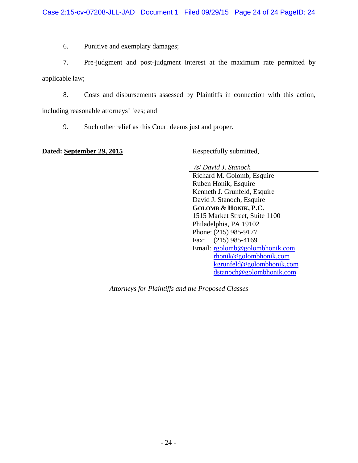6. Punitive and exemplary damages;

7. Pre-judgment and post-judgment interest at the maximum rate permitted by applicable law;

8. Costs and disbursements assessed by Plaintiffs in connection with this action,

including reasonable attorneys' fees; and

9. Such other relief as this Court deems just and proper.

**Dated: September 29, 2015** Respectfully submitted,

 */s*/ *David J. Stanoch* 

Richard M. Golomb, Esquire Ruben Honik, Esquire Kenneth J. Grunfeld, Esquire David J. Stanoch, Esquire **GOLOMB & HONIK, P.C.**  1515 Market Street, Suite 1100 Philadelphia, PA 19102 Phone: (215) 985-9177 Fax: (215) 985-4169 Email: [rgolomb@golombhonik.com](mailto:rgolomb@golombhonik.com)  [rhonik@golombhonik.com](mailto:rhonik@golombhonik.com)  [kgrunfeld@golombhonik.com](mailto:kgrunfeld@golombhonik.com)  [dstanoch@golombhonik.com](mailto:dstanoch@golombhonik.com) 

*Attorneys for Plaintiffs and the Proposed Classes*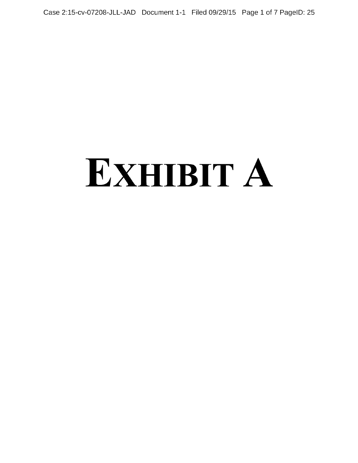Case 2:15-cv-07208-JLL-JAD Document 1-1 Filed 09/29/15 Page 1 of 7 PageID: 25

# EXHIBIT A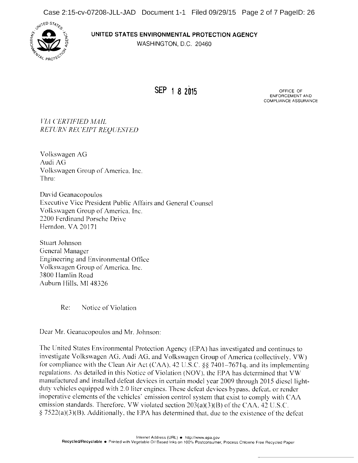

# UNITED STATES ENVIRONMENTAL PROTECTION AGENCY

WASHINGTON, D.C. 20460

SEP 1 8 2015

ENFORCEMENT AND COMPLIANCE ASSURANCE

VIA CERTIFIED MAIL RETURN RECEIPT REQUESTED

Volkswagen AG Audi AG Volkswagen Group of America, Inc. Thru:

David Geanacopoulos Executive Vice President Public Affairs and General Counsel Volkswagen Group of America, Inc. 2200 Ferdinand Porsche Drive Herndon, VA 20171

Stuart Johnson General Manager Engineering and Environmental Office Volkswagen Group of America. Inc. 3800 Hamlin Road Auburn Hills, MI 48326

Re: Notice of Violation

Dear Mr. Geanacopoulos and Mr. Johnson:

The United States Environmental Protection Agency (EPA) has investigated and continues to investigate Volkswagen AG, Audi AG, and Volkswagen Group of America (collectively. VW) for compliance with the Clean Air Act (CAA), 42 U.S.C. §§ 7401-7671q, and its implementing regulations. As detailed in this Notice of Violation (NOV), the EPA has determined that VW manufactured and installed defeat devices in certain model year 2009 through 2015 diesel lightduty vehicles equipped with 2.0 liter engines. These defeat devices bypass, defeat. or render inoperative elements of the vehicles' emission control system that exist to comply with CAA emission standards. Therefore, VW violated section  $203(a)(3)(B)$  of the CAA, 42 U.S.C.  $\S 7522(a)(3)(B)$ . Additionally, the EPA has determined that, due to the existence of the defeat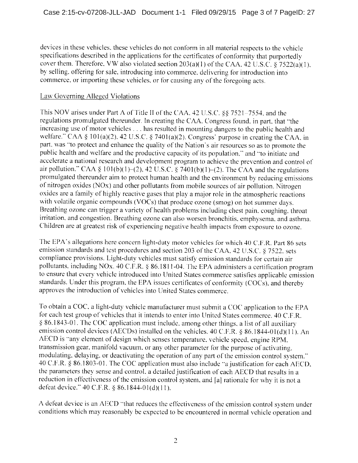devices in these vehicles, these vehicles do not conform in all material respects to the vehicle specifications described in the applications for the certificates of conformity that purportedly cover them. Therefore, VW also violated section  $203(a)(1)$  of the CAA, 42 U.S.C. § 7522(a)(1), by selling, offering for sale, introducing into commerce, delivering for introduction into commerce, or importing these vehicles, or for causing any of the foregoing acts.

# Law Governing Alleged Violations

This NOV arises under Part A of Title II of the CAA, 42 U.S.C.  $\S$ § 7521-7554, and the regulations promulgated thereunder. In creating the CAA, Congress found, in part, that "the increasing use of motor vehicles . . . has resulted in mounting dangers to the public health and welfare." CAA §  $101(a)(2)$ , 42 U.S.C. § 7401(a)(2). Congress' purpose in creating the CAA, in part, was "to protect and enhance the quality of the Nation's air resources so as to promote the public health and welfare and the productive capacity of its population." and "to initiate and accelerate <sup>a</sup> national research and development program to achieve the prevention and control of air pollution." CAA § 101(b)(1)–(2), 42 U.S.C. § 7401(b)(1)–(2). The CAA and the regulations promulgated thereunder aim to protect human health and the environment by reducing emissions of nitrogen oxides (NOx) and other pollutants from mobile sources of air pollution. Nitrogen oxides are <sup>a</sup> family of highly reactive gases that play <sup>a</sup> major role in the atmospheric reactions with volatile organic compounds (VOCs) that produce ozone (smog) on hot summer days. Breathing ozone can trigger <sup>a</sup> variety of health problems including chest pain, coughing, throat irritation, and congestion. Breathing ozone can also worsen bronchitis, emphysema, and asthma. Children are at greatest risk of experiencing negative health impacts from exposure to ozone.

The EPA's allegations here concern light-duty motor vehicles for which 40 C.F.R. Part <sup>86</sup> sets emission standards and test procedures and section 203 of the CAA, 42 U.S.C. § 7522, sets compliance provisions. Light-duty vehicles must satisfy emission standards for certain air pollutants. including NOx. 40 C.F.R. § 86.1811-04. The EPA administers a certification program to ensure that every vehicle introduced into United States commerce satisfies applicable emission standards. Under this program, the EPA issues certificates of conformity (COCs), and thereby approves the introduction of vehicles into United States commerce.

To obtain <sup>a</sup> COC, <sup>a</sup> light-duty vehicle manufacturer must submit <sup>a</sup> COC application to the EPA for each test group of vehicles that it intends to enter into United States commerce. 40 C.F.R. 86.1843-01. The COC application must include, among other things, <sup>a</sup> list of all auxiliary emission control devices (AECDs) installed on the vehicles.  $40 \text{ C.F.R.}$   $\frac{8}{1844-01}$ (d)(11). An AECD is "any element of design which senses temperature, vehicle speed, engine RPM. transmission gear. manifold vacuum, or any other parameter for the purpose of activating, modulating, delaying, or deactivating the operation of any part of the emission control system." <sup>40</sup> C.F.R. 86.1803-01. The COC application must also include "a justification for each AECD, the parameters they sense and control, a detailed justification of each AECD that results in a reduction in effectiveness of the emission control system, and [a] rationale for why it is not <sup>a</sup> defeat device."  $40$  C.F.R. § 86.1844-01(d)(11).

A defeat device is an AECD "that reduces the effectiveness of the emission control system under conditions which may reasonably be expected to be encountered in normal vehicle operation and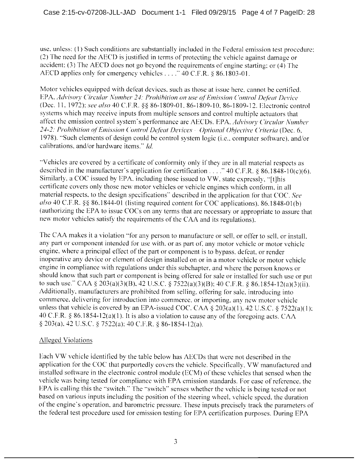use, unless: (1) Such conditions are substantially included in the Federal emission test procedure; (2) The need for the AECD is justified in terms of protecting the vehicle against damage or accident: (3) The AECD does not go beyond the requirements of engine starting; or (4) The AECD applies only for emergency vehicles . . . . "40 C.F.R. § 86.1803-01.

Motor vehicles equipped with defeat devices, such as those at issue here, cannot be certified. EPA, Advisory Circular Number 24: Prohibition on use of.Emission Control Defeat Device (Dec. 11, 1972); see also 40 C.F.R. §§ 86-1809-01, 86-1809-10, 86-1809-12. Electronic control systems which may receive inputs from multiple sensors and control multiple actuators that affect the emission control system's performance are AECDs. EPA, Advisory Circular Number 24-2: Prohibition of Emission Control Defeat Devices - Optional Objective Criteria (Dec. 6, 1978). "Such elements of design could be control system logic (i.e., computer software), and/or calibrations, and/or hardware items." Id.

"Vehicles are covered by a certificate of conformity only if they are in all material respects as described in the manufacturer's application for certification...  $\therefore$  40 C.F.R. § 86.1848-10(c)(6). Similarly, a COC issued by EPA, including those issued to VW, state expressly, "[t]his certificate covers only those new motor vehicles or vehicle engines which conform, in all material respects. to the design specifications" described in the application for that COC. See also 40 C.F.R. §§ 86.1844-01 (listing required content for COC applications), 86.1848-01(b) (authorizing the EPA to issue COCs on any terms that are necessary or appropriate to assure that new motor vehicles satisfy the requirements of the CAA and its regulations).

The CAA makes it a violation "for any person to manufacture or sell, or offer to sell, or install, any part or component intended for use with, or as part of, any motor vehicle or motor vehicle engine, where <sup>a</sup> principal effect of the part or component is to bypass. defeat. or render inoperative any device or element of design installed on or in <sup>a</sup> motor vehicle or motor vehicle engine in compliance with regulations under this subchapter, and where the person knows or should know that such part or component is being offered for sale or installed for such use or put to such use." CAA § 203(a)(3)(B), 42 U.S.C. § 7522(a)(3)(B); 40 C.F.R. § 86.1854-12(a)(3)(ii). Additionally, manufacturers are prohibited from selling, offering for sale, introducing into commerce, delivering for introduction into commerce, or importing. any ncw motor vehicle unless that vehicle is covered by an EPA-issued COC. CAA  $\S$  203(a)(1), 42 U.S.C.  $\S$  7522(a)(1); 40 C.F.R. § 86.1854-12(a)(1). It is also a violation to cause any of the foregoing acts. CAA § 203(a), 42 U.S.C. § 7522(a); 40 C.F.R. § 86-1854-12(a).

# Alleged Violations

Each VW vehicle identified by the table below has AECDs that were not described in the application for the COC that purportedly covers the vehicle. Specifically. VW manufactured and installed software in the electronic control module (ECM) of these vehicles that sensed when the vehicle was being tested for compliance with EPA emission standards. For ease of reference, the EPA is calling this the "switch." The "switch" senses whether the vehicle is being tested or not based on various inputs including the position of the steering wheel, vehicle speed. the duration of the engine's operation, and barometric pressure. These inputs precisely track the parameters of the federal test procedure used for emission testing for EPA certification purposes. During EPA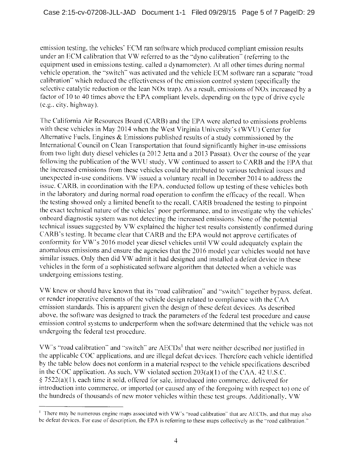emission testing. the vehicles' ECM ran software which produced compliant emission results under an ECM calibration that VW referred to as the "dyno calibration" (referring to the equipment used in emissions testing, called <sup>a</sup> dynamometer). At all other times during normal vehicle operation, the "switch" was activated and the vehicle ECM software ran a separate "road calibration" which reduced the effectiveness of the emission control system (specifically the selective catalytic reduction or the lean NOx trap). As <sup>a</sup> result, emissions of NOx increased by <sup>a</sup> factor of <sup>10</sup> to <sup>40</sup> times above the EPA compliant levels, depending on the type of drive cycle (e.g., city. highway).

The California Air Resources Board (CARB) and the EPA were alerted to emissions problems with these vehicles in May <sup>2014</sup> when the West Virginia University's (WVU) Center for Alternative Fuels, Engines & Emissions published results of <sup>a</sup> study commissioned by the International Council on Clean Transportation that found significantly higher in-use emissions from two light duty diesel vehicles (a 2012 Jetta and a 2013 Passat). Over the course of the year following the publication of the WVU study. VW continued to assert to CARB and the EPA that the increased emissions from these vehicles could be attributed to various technical issues and unexpected in-use conditions. VW issued <sup>a</sup> voluntary recall in December 2014 to address the issue. CARB, in coordination with the EPA, conducted follow up testing of these vehicles both in the laboratory and during normal road operation to confirm the efficacy of the recall. When the testing showed only <sup>a</sup> limited benefit to the recall, CARB broadened the testing to pinpoint the exact technical nature of the vehicles' poor performance, and to investigate why the vehicles' onboard diagnostic system was not detecting the increased emissions. None of the potential technical issues suggested by VW explained the higher test results consistently confirmed during CARB's testing. It became clear that CARB and the EPA would not approve certificates of conformity for VW's <sup>2016</sup> model year diesel vehicles until VW could adequately explain the anomalous emissions and ensure the agencies that the 2016 model year vehicles would not have similar issues. Only then did VW admit it had designed and installed <sup>a</sup> defeat device in these vehicles in the form of <sup>a</sup> sophisticated software algorithm that detected when <sup>a</sup> vehicle was undergoing emissions testing.

VW knew or should have known that its "road calibration" and "switch" together bypass, defeat, or render inoperative elements of the vehicle design related to compliance with the CAA emission standards. This is apparent given the design of these defeat devices. As described above, the software was designed to track the parameters of the federal test procedure and cause emission control systems to underperform when the software determined that the vehicle was not undergoing the federal test procedure.

VW's "road calibration" and "switch" are  $AECDs<sup>1</sup>$  that were neither described nor justified in the applicable COC applications, and are illegal defeat devices. Therefore each vehicle identified by the table below does not conform in <sup>a</sup> material respect to the vehicle specifications described in the COC application. As such, VW violated section 203(a)(1) of the CAA, <sup>42</sup> U.S.C.  $\S$  7522(a)(1), each time it sold, offered for sale, introduced into commerce, delivered for introduction into commerce, or imported (or caused any of the foregoing with respect to) one of the hundreds of thousands of new motor vehicles within these test groups. Additionally, VW

<sup>&</sup>lt;sup>1</sup> There may be numerous engine maps associated with VW's "road calibration" that are AECDs, and that may also be defeat devices. For ease of description, the EPA is referring to these maps collectively as the "road calibration."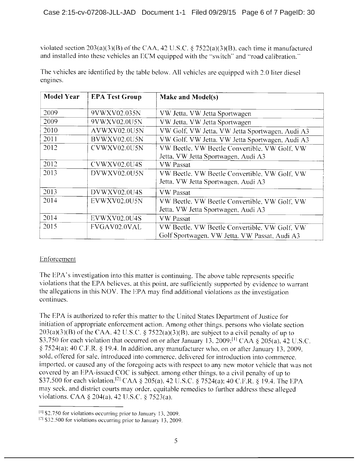violated section  $203(a)(3)(B)$  of the CAA, 42 U.S.C. § 7522(a)(3)(B), each time it manufactured and installed into these vehicles an ECM equipped with the "switch" and "road calibration."

| <b>Model Year</b> | <b>EPA Test Group</b> | Make and Model(s)                               |  |  |  |
|-------------------|-----------------------|-------------------------------------------------|--|--|--|
| 2009              | 9VWXV02.035N          | VW Jetta, VW Jetta Sportwagen                   |  |  |  |
| 2009              | 9VWXV02.0U5N          | VW Jetta, VW Jetta Sportwagen                   |  |  |  |
| 2010              | AVWXV02.0U5N          | VW Golf, VW Jetta, VW Jetta Sportwagen, Audi A3 |  |  |  |
| 2011              | BVWXV02.0U5N          | VW Golf, VW Jetta, VW Jetta Sportwagen, Audi A3 |  |  |  |
| 2012              | CVWXV02.0U5N          | VW Beetle, VW Beetle Convertible, VW Golf, VW   |  |  |  |
|                   |                       | Jetta, VW Jetta Sportwagen, Audi A3             |  |  |  |
| 2012              | CVWXV02.0U4S          | <b>VW</b> Passat                                |  |  |  |
| 2013              | DVWXV02.0U5N          | VW Beetle, VW Beetle Convertible, VW Golf, VW   |  |  |  |
|                   |                       | Jetta, VW Jetta Sportwagen, Audi A3             |  |  |  |
| 2013              | DVWXV02.0U4S          | <b>VW</b> Passat                                |  |  |  |
| 2014              | EVWXV02.0U5N          | VW Beetle, VW Beetle Convertible, VW Golf, VW   |  |  |  |
|                   |                       | Jetta, VW Jetta Sportwagen, Audi A3             |  |  |  |
| 2014              | EVWXV02.0U4S          | <b>VW Passat</b>                                |  |  |  |
| 2015              | FVGAV02.0VAL          | VW Beetle, VW Beetle Convertible, VW Golf, VW   |  |  |  |
|                   |                       | Golf Sportwagen, VW Jetta, VW Passat, Audi A3   |  |  |  |

The vehicles are identified by the table below. All vehicles are equipped with 2.0 liter diesel engines.

# Enforcement

The EPA's investigation into this matter is continuing. The above table represents specific violations that the EPA believes, at this point, are sufficiently supported by evidence to warrant the alleations in this NOV. The EPA may find additional violations as the investigation continues.

The EPA is authorized to refer this matter to the United States Department of Justice for initiation of appropriate enforcement action. Among other things. persons who violate section  $203(a)(3)(B)$  of the CAA, 42 U.S.C. § 7522(a)(3)(B), are subject to a civil penalty of up to \$3,750 for each violation that occurred on or after January 13, 2009;<sup>[1]</sup> CAA § 205(a), 42 U.S.C.  $\S$  7524(a); 40 C.F.R.  $\S$  19.4. In addition, any manufacturer who, on or after January 13, 2009, sold, offered for sale, introduced into commerce, delivered for introduction into commerce. imported, or caused any of the foregoing acts with respect to any new motor vehicle that was not covered by an EPA-issued COC is subject, among other things, to <sup>a</sup> civil penalty of up to \$37,500 for each violation.<sup>[2]</sup> CAA § 205(a), 42 U.S.C. § 7524(a); 40 C.F.R. § 19.4. The EPA may seek, and district courts may order, equitable remedies to further address these alleged violations. CAA  $\S 204(a)$ , 42 U.S.C.  $\S 7523(a)$ .

 $[1]$  \$2,750 for violations occurring prior to January 13, 2009.

 $121$  \$32,500 for violations occurring prior to January 13, 2009.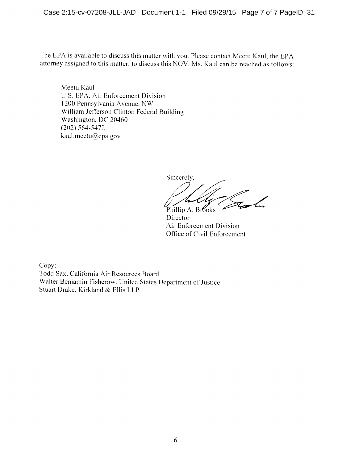The EPA is available to discuss this matter with you. Please contact Meetu Kaul, the EPA attorney assigned to this matter, to discuss this NOV. Ms. Kaul can be reached as follows:

Meetu Kaul U.S. EPA, Air Enforcement Division 1200 Pennsylvania Avenue, NW William Jefferson Clinton Federal Building Washington, DC 20460 (202) 564-5472 kaul.meetu@epa.gov

Sincerely, Phillip A. Brooks

**Director** Air Enforcement Division Office of Civil Enforcement

Copy: Todd Sax, California Air Resources Board Walter Benjamin Fisherow, United States Department of Justice Stuart Drake. Kirkland & Ellis LLP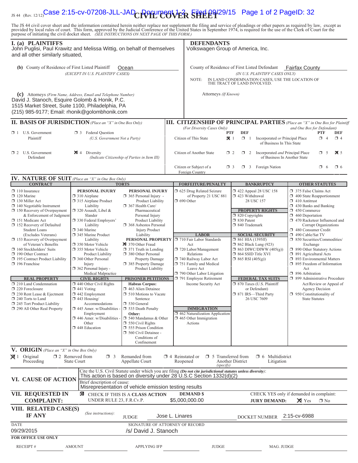# 1s 44 (Rev. 12/12)Case 2:15-cv-07208-JLL-JAD C**RIGHT POVER SHEET**<sup>929/15</sup> Page 1 of 2 PageID: 32

The JS 44 civil cover sheet and the information contained herein neither replace nor supplement the filing and service of pleadings or other papers as required by law, except as provided by local rules of court. This form,

| <b>I.</b> (a) <b>PLAINTIFFS</b><br>John Puglisi, Paul Krawitz and Melissa Wittig, on behalf of themselves<br>and all other similarly situated,                                                                                       |                                                                                                                                                                                                  |                                                                                                                                                                                                                                                                                                                                                                        |                          | <b>DEFENDANTS</b><br>Volkswagen Group of America, Inc.                                                                                                                                                       |                                                                                                                                                                        |                                                                                                           |                                                                                                                                                                                                                                              |  |
|--------------------------------------------------------------------------------------------------------------------------------------------------------------------------------------------------------------------------------------|--------------------------------------------------------------------------------------------------------------------------------------------------------------------------------------------------|------------------------------------------------------------------------------------------------------------------------------------------------------------------------------------------------------------------------------------------------------------------------------------------------------------------------------------------------------------------------|--------------------------|--------------------------------------------------------------------------------------------------------------------------------------------------------------------------------------------------------------|------------------------------------------------------------------------------------------------------------------------------------------------------------------------|-----------------------------------------------------------------------------------------------------------|----------------------------------------------------------------------------------------------------------------------------------------------------------------------------------------------------------------------------------------------|--|
| (b) County of Residence of First Listed Plaintiff<br>Ocean<br>(EXCEPT IN U.S. PLAINTIFF CASES)                                                                                                                                       |                                                                                                                                                                                                  |                                                                                                                                                                                                                                                                                                                                                                        |                          | County of Residence of First Listed Defendant<br>Fairfax County<br>(IN U.S. PLAINTIFF CASES ONLY)<br>IN LAND CONDEMNATION CASES, USE THE LOCATION OF<br>NOTE:<br>THE TRACT OF LAND INVOLVED.                 |                                                                                                                                                                        |                                                                                                           |                                                                                                                                                                                                                                              |  |
| (c) Attorneys (Firm Name, Address, Email and Telephone Number)<br>David J. Stanoch, Esquire Golomb & Honik, P.C.<br>1515 Market Street, Suite 1100, Philadelphia, PA<br>(215) 985-9177; Email: rhonik@golombhonik.com                |                                                                                                                                                                                                  |                                                                                                                                                                                                                                                                                                                                                                        |                          | Attorneys (If Known)                                                                                                                                                                                         |                                                                                                                                                                        |                                                                                                           |                                                                                                                                                                                                                                              |  |
| <b>II. BASIS OF JURISDICTION</b> (Place an "X" in One Box Only)                                                                                                                                                                      |                                                                                                                                                                                                  |                                                                                                                                                                                                                                                                                                                                                                        |                          |                                                                                                                                                                                                              |                                                                                                                                                                        |                                                                                                           | <b>III. CITIZENSHIP OF PRINCIPAL PARTIES</b> (Place an "X" in One Box for Plaintiff                                                                                                                                                          |  |
| $\Box$ 1 U.S. Government<br>Plaintiff                                                                                                                                                                                                | <b>1</b> 3 Federal Question<br>(U.S. Government Not a Party)                                                                                                                                     |                                                                                                                                                                                                                                                                                                                                                                        |                          | (For Diversity Cases Only)<br>Citizen of This State                                                                                                                                                          | <b>DEF</b><br><b>PTF</b><br>$\mathbf{X}$ 1<br>$\Box$ 1                                                                                                                 | Incorporated or Principal Place<br>of Business In This State                                              | and One Box for Defendant)<br><b>PTF</b><br><b>DEF</b><br>$\Box$ 4<br>$\Box$ 4                                                                                                                                                               |  |
| $\Box$ 2 U.S. Government<br>Defendant                                                                                                                                                                                                | $\boxtimes$ 4 Diversity<br>(Indicate Citizenship of Parties in Item III)                                                                                                                         |                                                                                                                                                                                                                                                                                                                                                                        | Citizen of Another State |                                                                                                                                                                                                              | $\Box$ 2<br>$\Box$ 2                                                                                                                                                   | $\overline{\mathbf{X}}$ 5<br>Incorporated and Principal Place<br>$\Box$ 5<br>of Business In Another State |                                                                                                                                                                                                                                              |  |
| <b>IV. NATURE OF SUIT</b> (Place an "X" in One Box Only)                                                                                                                                                                             |                                                                                                                                                                                                  |                                                                                                                                                                                                                                                                                                                                                                        |                          | Citizen or Subject of a<br>Foreign Country                                                                                                                                                                   | $\Box$ 3                                                                                                                                                               | $\Box$ 3 Foreign Nation                                                                                   | $\Box$ 6<br>$\Box$ 6                                                                                                                                                                                                                         |  |
| <b>CONTRACT</b>                                                                                                                                                                                                                      |                                                                                                                                                                                                  | <b>TORTS</b>                                                                                                                                                                                                                                                                                                                                                           |                          | <b>FORFEITURE/PENALTY</b>                                                                                                                                                                                    |                                                                                                                                                                        | <b>BANKRUPTCY</b>                                                                                         | <b>OTHER STATUTES</b>                                                                                                                                                                                                                        |  |
| $\Box$ 110 Insurance<br>$\Box$ 120 Marine<br>130 Miller Act<br>$\Box$ 140 Negotiable Instrument<br>150 Recovery of Overpayment<br>& Enforcement of Judgment<br>151 Medicare Act<br>152 Recovery of Defaulted<br><b>Student Loans</b> | PERSONAL INJURY<br>$\Box$ 310 Airplane<br>315 Airplane Product<br>Liability<br>$\Box$ 320 Assault, Libel &<br>Slander<br>□ 330 Federal Employers'<br>Liability<br>□ 340 Marine                   | PERSONAL INJURY<br>$\Box$ 365 Personal Injury -<br>Product Liability<br>367 Health Care/<br>Pharmaceutical<br>Personal Injury<br><b>Product Liability</b><br>368 Asbestos Personal<br><b>Injury Product</b><br>Liability<br>370 Other Fraud<br>$\Box$ 371 Truth in Lending<br>380 Other Personal<br><b>Property Damage</b><br>385 Property Damage<br>Product Liability |                          | □ 625 Drug Related Seizure<br>of Property 21 USC 881<br>$\Box$ 690 Other                                                                                                                                     | 423 Withdrawal<br>$\Box$ 820 Copyrights<br>□ 830 Patent<br>□ 840 Trademark                                                                                             | $\Box$ 422 Appeal 28 USC 158<br>28 USC 157<br><b>PROPERTY RIGHTS</b>                                      | 375 False Claims Act<br>$\Box$ 400 State Reapportionment<br>$\Box$ 410 Antitrust<br>$\Box$ 430 Banks and Banking<br>450 Commerce<br>$\Box$ 460 Deportation<br>1 470 Racketeer Influenced and<br>Corrupt Organizations<br>480 Consumer Credit |  |
| (Excludes Veterans)<br>153 Recovery of Overpayment<br>of Veteran's Benefits<br>$\Box$ 160 Stockholders' Suits<br>190 Other Contract<br>195 Contract Product Liability<br>$\Box$ 196 Franchise                                        | 345 Marine Product<br>Liability<br>□ 350 Motor Vehicle<br>□ 355 Motor Vehicle<br><b>Product Liability</b><br>360 Other Personal<br>Injury<br>$\Box$ 362 Personal Injury -<br>Medical Malpractice |                                                                                                                                                                                                                                                                                                                                                                        |                          | <b>LABOR</b><br><b>PERSONAL PROPERTY</b> J710 Fair Labor Standards<br>Act<br>720 Labor/Management<br>Relations<br>740 Railway Labor Act<br>751 Family and Medical<br>Leave Act<br>790 Other Labor Litigation | <b>SOCIAL SECURITY</b><br>□ 861 HIA (1395ff)<br><b>1</b> 862 Black Lung (923)<br>$\Box$ 863 DIWC/DIWW (405(g))<br>$\Box$ 864 SSID Title XVI<br>$\Box$ 865 RSI (405(g)) |                                                                                                           | 490 Cable/Sat TV<br>□ 850 Securities/Commodities/<br>Exchange<br>1 890 Other Statutory Actions<br>$\Box$ 891 Agricultural Acts<br>□ 893 Environmental Matters<br>$\Box$ 895 Freedom of Information<br>Act<br>□ 896 Arbitration               |  |
| <b>REAL PROPERTY</b>                                                                                                                                                                                                                 | <b>CIVIL RIGHTS</b>                                                                                                                                                                              | <b>PRISONER PETITIONS</b>                                                                                                                                                                                                                                                                                                                                              |                          | 791 Employee Retirement                                                                                                                                                                                      |                                                                                                                                                                        | <b>FEDERAL TAX SUITS</b>                                                                                  | □ 899 Administrative Procedure                                                                                                                                                                                                               |  |
| 210 Land Condemnation<br>220 Foreclosure<br>□ 230 Rent Lease & Ejectment<br>240 Torts to Land<br>245 Tort Product Liability                                                                                                          | $\Box$ 440 Other Civil Rights<br>$\Box$ 441 Voting<br>$\Box$ 442 Employment<br>$\Box$ 443 Housing/<br>Accommodations                                                                             | <b>Habeas Corpus:</b><br>$\Box$ 463 Alien Detainee<br>510 Motions to Vacate<br>Sentence<br>□ 530 General                                                                                                                                                                                                                                                               | Income Security Act      |                                                                                                                                                                                                              | □ 870 Taxes (U.S. Plaintiff<br>or Defendant)<br>□ 871 IRS-Third Party<br>26 USC 7609                                                                                   |                                                                                                           | Act/Review or Appeal of<br><b>Agency Decision</b><br>$\Box$ 950 Constitutionality of<br><b>State Statutes</b>                                                                                                                                |  |
| 290 All Other Real Property                                                                                                                                                                                                          | $\Box$ 445 Amer. w/Disabilities<br>Employment<br>$\Box$ 446 Amer. w/Disabilities<br>Other<br>448 Education                                                                                       | 535 Death Penalty<br>Other:<br>$\Box$ 540 Mandamus & Other<br>$\Box$ 550 Civil Rights<br><b>1 555 Prison Condition</b><br>560 Civil Detainee -<br>Conditions of<br>Confinement                                                                                                                                                                                         |                          | <b>IMMIGRATION</b><br>462 Naturalization Application<br>$\Box$ 465 Other Immigration<br>Actions                                                                                                              |                                                                                                                                                                        |                                                                                                           |                                                                                                                                                                                                                                              |  |
| V. ORIGIN (Place an "X" in One Box Only)<br>$\boxtimes$ 1 Original<br>Proceeding                                                                                                                                                     | 12 Removed from<br>$\Box$ 3<br><b>State Court</b>                                                                                                                                                | Remanded from<br>Appellate Court                                                                                                                                                                                                                                                                                                                                       |                          | $\Box$ 4 Reinstated or<br>$\Box$ 5 Transferred from<br>Reopened<br>(specify)                                                                                                                                 | Another District                                                                                                                                                       | $\Box$ 6 Multidistrict<br>Litigation                                                                      |                                                                                                                                                                                                                                              |  |
| VI. CAUSE OF ACTION                                                                                                                                                                                                                  | Brief description of cause:                                                                                                                                                                      | Misrepresentation of vehicle emission testing results                                                                                                                                                                                                                                                                                                                  |                          | Cite the U.S. Civil Statute under which you are filing (Do not cite jurisdictional statutes unless diversity):<br>This action is based on diversity under 28 U.S.C Section 1332(d)(2)                        |                                                                                                                                                                        |                                                                                                           |                                                                                                                                                                                                                                              |  |
| VII. REQUESTED IN<br><b>COMPLAINT:</b>                                                                                                                                                                                               | UNDER RULE 23, F.R.Cv.P.                                                                                                                                                                         | <b>E</b> CHECK IF THIS IS A CLASS ACTION                                                                                                                                                                                                                                                                                                                               |                          | <b>DEMAND \$</b><br>\$5,000,000.00                                                                                                                                                                           |                                                                                                                                                                        | <b>JURY DEMAND:</b>                                                                                       | CHECK YES only if demanded in complaint:<br>$\times$ Yes<br>$\square$ No                                                                                                                                                                     |  |
| VIII. RELATED CASE(S)<br><b>IF ANY</b>                                                                                                                                                                                               | (See instructions):                                                                                                                                                                              | <b>JUDGE</b>                                                                                                                                                                                                                                                                                                                                                           | Jose L. Linares          |                                                                                                                                                                                                              |                                                                                                                                                                        | <b>DOCKET NUMBER</b>                                                                                      | 2:15-cv-6988                                                                                                                                                                                                                                 |  |
| <b>DATE</b><br>09/29/2015                                                                                                                                                                                                            |                                                                                                                                                                                                  | SIGNATURE OF ATTORNEY OF RECORD<br>/s/ David J. Stanoch                                                                                                                                                                                                                                                                                                                |                          |                                                                                                                                                                                                              |                                                                                                                                                                        |                                                                                                           |                                                                                                                                                                                                                                              |  |
| <b>FOR OFFICE USE ONLY</b><br>RECEIPT#                                                                                                                                                                                               | <b>AMOUNT</b>                                                                                                                                                                                    | <b>APPLYING IFP</b>                                                                                                                                                                                                                                                                                                                                                    |                          | <b>JUDGE</b>                                                                                                                                                                                                 |                                                                                                                                                                        | MAG. JUDGE                                                                                                |                                                                                                                                                                                                                                              |  |